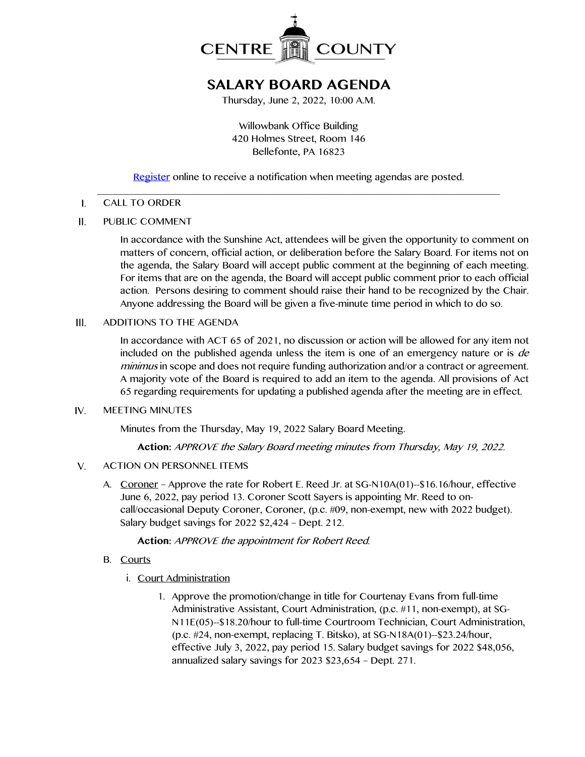

# **SALARY BOARD AGENDA**

Thursday, June 2, 2022, 10:00 A.M.

Willowbank Office Building 420 Holmes Street, Room 146 Bellefonte, PA 16823

[Register](http://www.centrecountypa.gov/AgendaCenter) online to receive a notification when meeting agendas are posted.

### \_\_\_\_\_\_\_\_\_\_\_\_\_\_\_\_\_\_\_\_\_\_\_\_\_\_\_\_\_\_\_\_\_\_\_\_\_\_\_\_\_\_\_\_\_\_\_\_\_\_\_\_\_\_\_\_\_\_\_\_\_\_\_\_\_\_\_\_\_\_\_\_\_\_\_\_\_\_  $\mathbf{I}$ . CALL TO ORDER

 $II.$ PUBLIC COMMENT

> In accordance with the Sunshine Act, attendees will be given the opportunity to comment on matters of concern, official action, or deliberation before the Salary Board. For items not on the agenda, the Salary Board will accept public comment at the beginning of each meeting. For items that are on the agenda, the Board will accept public comment prior to each official action. Persons desiring to comment should raise their hand to be recognized by the Chair. Anyone addressing the Board will be given a five-minute time period in which to do so.

 $III.$ ADDITIONS TO THE AGENDA

> In accordance with ACT 65 of 2021, no discussion or action will be allowed for any item not included on the published agenda unless the item is one of an emergency nature or is de minimus in scope and does not require funding authorization and/or a contract or agreement. A majority vote of the Board is required to add an item to the agenda. All provisions of Act 65 regarding requirements for updating a published agenda after the meeting are in effect.

#### IV. MEETING MINUTES

Minutes from the Thursday, May 19, 2022 Salary Board Meeting.

**Action:** APPROVE the Salary Board meeting minutes from Thursday, May 19, 2022.

#### $V_{1}$ ACTION ON PERSONNEL ITEMS

A. Coroner – Approve the rate for Robert E. Reed Jr. at SG-N10A(01)--\$16.16/hour, effective June 6, 2022, pay period 13. Coroner Scott Sayers is appointing Mr. Reed to oncall/occasional Deputy Coroner, Coroner, (p.c. #09, non-exempt, new with 2022 budget). Salary budget savings for 2022 \$2,424 – Dept. 212.

**Action:** APPROVE the appointment for Robert Reed.

- B. Courts
	- i. Court Administration
		- 1. Approve the promotion/change in title for Courtenay Evans from full-time Administrative Assistant, Court Administration, (p.c. #11, non-exempt), at SG-N11E(05)--\$18.20/hour to full-time Courtroom Technician, Court Administration, (p.c. #24, non-exempt, replacing T. Bitsko), at SG-N18A(01)--\$23.24/hour, effective July 3, 2022, pay period 15. Salary budget savings for 2022 \$48,056, annualized salary savings for 2023 \$23,654 – Dept. 271.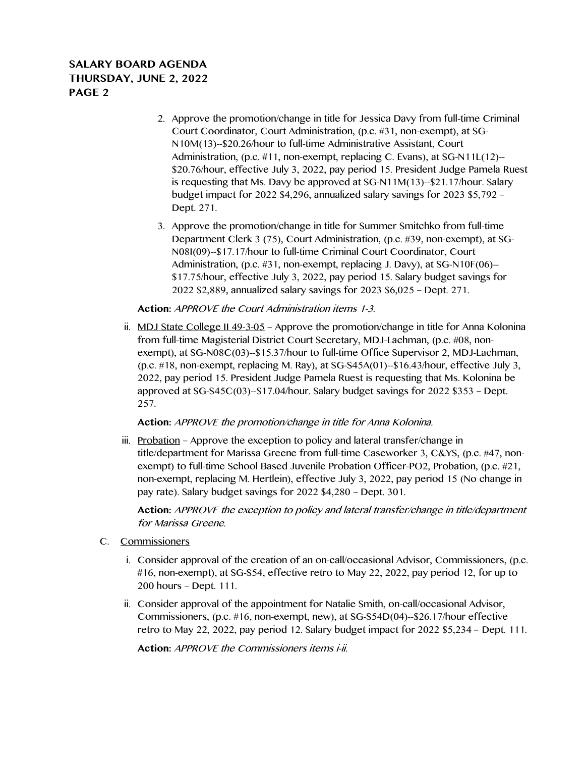## **SALARY BOARD AGENDA THURSDAY, JUNE 2, 2022 PAGE 2**

- 2. Approve the promotion/change in title for Jessica Davy from full-time Criminal Court Coordinator, Court Administration, (p.c. #31, non-exempt), at SG-N10M(13)--\$20.26/hour to full-time Administrative Assistant, Court Administration, (p.c. #11, non-exempt, replacing C. Evans), at SG-N11L(12)-- \$20.76/hour, effective July 3, 2022, pay period 15. President Judge Pamela Ruest is requesting that Ms. Davy be approved at SG-N11M(13)--\$21.17/hour. Salary budget impact for 2022 \$4,296, annualized salary savings for 2023 \$5,792 – Dept. 271.
- 3. Approve the promotion/change in title for Summer Smitchko from full-time Department Clerk 3 (75), Court Administration, (p.c. #39, non-exempt), at SG-N08I(09)--\$17.17/hour to full-time Criminal Court Coordinator, Court Administration, (p.c. #31, non-exempt, replacing J. Davy), at SG-N10F(06)-- \$17.75/hour, effective July 3, 2022, pay period 15. Salary budget savings for 2022 \$2,889, annualized salary savings for 2023 \$6,025 – Dept. 271.

## **Action:** APPROVE the Court Administration items 1-3.

ii. MDJ State College II 49-3-05 – Approve the promotion/change in title for Anna Kolonina from full-time Magisterial District Court Secretary, MDJ-Lachman, (p.c. #08, nonexempt), at SG-N08C(03)--\$15.37/hour to full-time Office Supervisor 2, MDJ-Lachman, (p.c. #18, non-exempt, replacing M. Ray), at SG-S45A(01)--\$16.43/hour, effective July 3, 2022, pay period 15. President Judge Pamela Ruest is requesting that Ms. Kolonina be approved at SG-S45C(03)--\$17.04/hour. Salary budget savings for 2022 \$353 – Dept. 257.

### **Action:** APPROVE the promotion/change in title for Anna Kolonina.

iii. Probation – Approve the exception to policy and lateral transfer/change in title/department for Marissa Greene from full-time Caseworker 3, C&YS, (p.c. #47, nonexempt) to full-time School Based Juvenile Probation Officer-PO2, Probation, (p.c. #21, non-exempt, replacing M. Hertlein), effective July 3, 2022, pay period 15 (No change in pay rate). Salary budget savings for 2022 \$4,280 – Dept. 301.

**Action:** APPROVE the exception to policy and lateral transfer/change in title/department for Marissa Greene.

- C. Commissioners
	- i. Consider approval of the creation of an on-call/occasional Advisor, Commissioners, (p.c. #16, non-exempt), at SG-S54, effective retro to May 22, 2022, pay period 12, for up to 200 hours – Dept. 111.
	- ii. Consider approval of the appointment for Natalie Smith, on-call/occasional Advisor, Commissioners, (p.c. #16, non-exempt, new), at SG-S54D(04)--\$26.17/hour effective retro to May 22, 2022, pay period 12. Salary budget impact for 2022 \$5,234 – Dept. 111.

**Action:** APPROVE the Commissioners items i-ii.